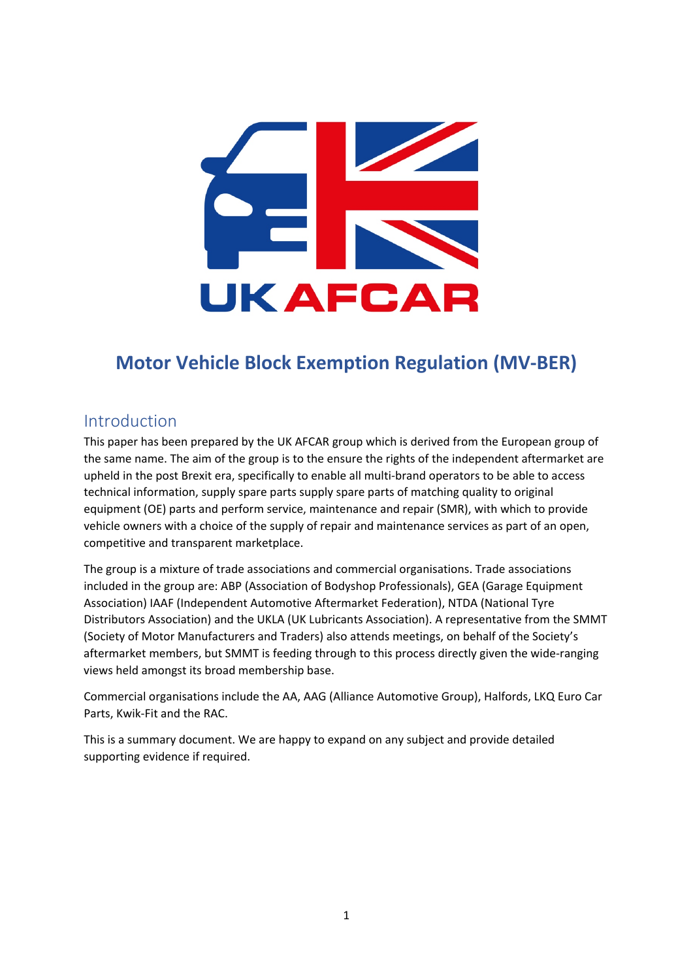

# **Motor Vehicle Block Exemption Regulation (MV-BER)**

# <span id="page-0-0"></span>Introduction

This paper has been prepared by the UK AFCAR group which is derived from the European group of the same name. The aim of the group is to the ensure the rights of the independent aftermarket are upheld in the post Brexit era, specifically to enable all multi-brand operators to be able to access technical information, supply spare parts supply spare parts of matching quality to original equipment (OE) parts and perform service, maintenance and repair (SMR), with which to provide vehicle owners with a choice of the supply of repair and maintenance services as part of an open, competitive and transparent marketplace.

The group is a mixture of trade associations and commercial organisations. Trade associations included in the group are: ABP (Association of Bodyshop Professionals), GEA (Garage Equipment Association) IAAF (Independent Automotive Aftermarket Federation), NTDA (National Tyre Distributors Association) and the UKLA (UK Lubricants Association). A representative from the SMMT (Society of Motor Manufacturers and Traders) also attends meetings, on behalf of the Society's aftermarket members, but SMMT is feeding through to this process directly given the wide-ranging views held amongst its broad membership base.

Commercial organisations include the AA, AAG (Alliance Automotive Group), Halfords, LKQ Euro Car Parts, Kwik-Fit and the RAC.

This is a summary document. We are happy to expand on any subject and provide detailed supporting evidence if required.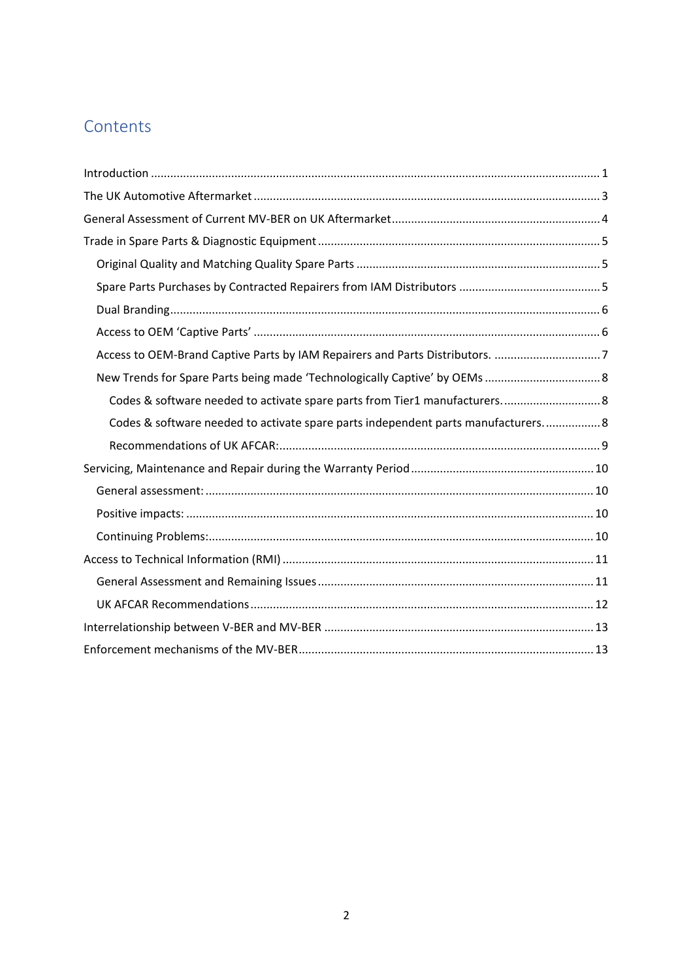# **Contents**

| Access to OEM-Brand Captive Parts by IAM Repairers and Parts Distributors. 7      |
|-----------------------------------------------------------------------------------|
|                                                                                   |
| Codes & software needed to activate spare parts from Tier1 manufacturers 8        |
| Codes & software needed to activate spare parts independent parts manufacturers 8 |
|                                                                                   |
|                                                                                   |
|                                                                                   |
|                                                                                   |
|                                                                                   |
|                                                                                   |
|                                                                                   |
|                                                                                   |
|                                                                                   |
|                                                                                   |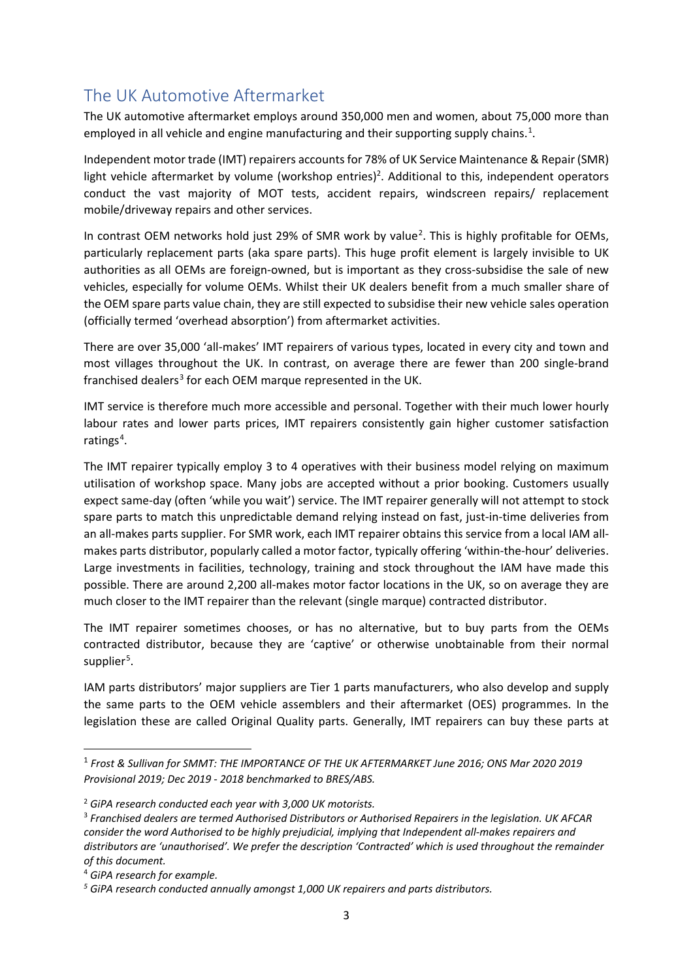# <span id="page-2-0"></span>The UK Automotive Aftermarket

The UK automotive aftermarket employs around 350,000 men and women, about 75,000 more than employed in all vehicle and engine manufacturing and their supporting supply chains.<sup>[1](#page-2-1)</sup>.

Independent motor trade (IMT) repairers accounts for 78% of UK Service Maintenance & Repair (SMR) light vehicle aftermarket by volume (workshop entries)<sup>2</sup>. Additional to this, independent operators conduct the vast majority of MOT tests, accident repairs, windscreen repairs/ replacement mobile/driveway repairs and other services.

In contrast OEM networks hold just [2](#page-2-2)9% of SMR work by value<sup>2</sup>. This is highly profitable for OEMs, particularly replacement parts (aka spare parts). This huge profit element is largely invisible to UK authorities as all OEMs are foreign-owned, but is important as they cross-subsidise the sale of new vehicles, especially for volume OEMs. Whilst their UK dealers benefit from a much smaller share of the OEM spare parts value chain, they are still expected to subsidise their new vehicle sales operation (officially termed 'overhead absorption') from aftermarket activities.

There are over 35,000 'all-makes' IMT repairers of various types, located in every city and town and most villages throughout the UK. In contrast, on average there are fewer than 200 single-brand franchised dealers<sup>[3](#page-2-3)</sup> for each OEM marque represented in the UK.

IMT service is therefore much more accessible and personal. Together with their much lower hourly labour rates and lower parts prices, IMT repairers consistently gain higher customer satisfaction ratings<sup>[4](#page-2-4)</sup>.

The IMT repairer typically employ 3 to 4 operatives with their business model relying on maximum utilisation of workshop space. Many jobs are accepted without a prior booking. Customers usually expect same-day (often 'while you wait') service. The IMT repairer generally will not attempt to stock spare parts to match this unpredictable demand relying instead on fast, just-in-time deliveries from an all-makes parts supplier. For SMR work, each IMT repairer obtains this service from a local IAM allmakes parts distributor, popularly called a motor factor, typically offering 'within-the-hour' deliveries. Large investments in facilities, technology, training and stock throughout the IAM have made this possible. There are around 2,200 all-makes motor factor locations in the UK, so on average they are much closer to the IMT repairer than the relevant (single marque) contracted distributor.

The IMT repairer sometimes chooses, or has no alternative, but to buy parts from the OEMs contracted distributor, because they are 'captive' or otherwise unobtainable from their normal supplier<sup>[5](#page-2-5)</sup>.

IAM parts distributors' major suppliers are Tier 1 parts manufacturers, who also develop and supply the same parts to the OEM vehicle assemblers and their aftermarket (OES) programmes. In the legislation these are called Original Quality parts. Generally, IMT repairers can buy these parts at

<span id="page-2-1"></span><sup>1</sup> *Frost & Sullivan for SMMT: THE IMPORTANCE OF THE UK AFTERMARKET June 2016; ONS Mar 2020 2019 Provisional 2019; Dec 2019 - 2018 benchmarked to BRES/ABS.*

<span id="page-2-2"></span><sup>2</sup> *GiPA research conducted each year with 3,000 UK motorists.*

<span id="page-2-3"></span><sup>3</sup> *Franchised dealers are termed Authorised Distributors or Authorised Repairers in the legislation. UK AFCAR consider the word Authorised to be highly prejudicial, implying that Independent all-makes repairers and distributors are 'unauthorised'. We prefer the description 'Contracted' which is used throughout the remainder of this document.*

<span id="page-2-5"></span>

<span id="page-2-4"></span><sup>4</sup> *GiPA research for example. 5 GiPA research conducted annually amongst 1,000 UK repairers and parts distributors.*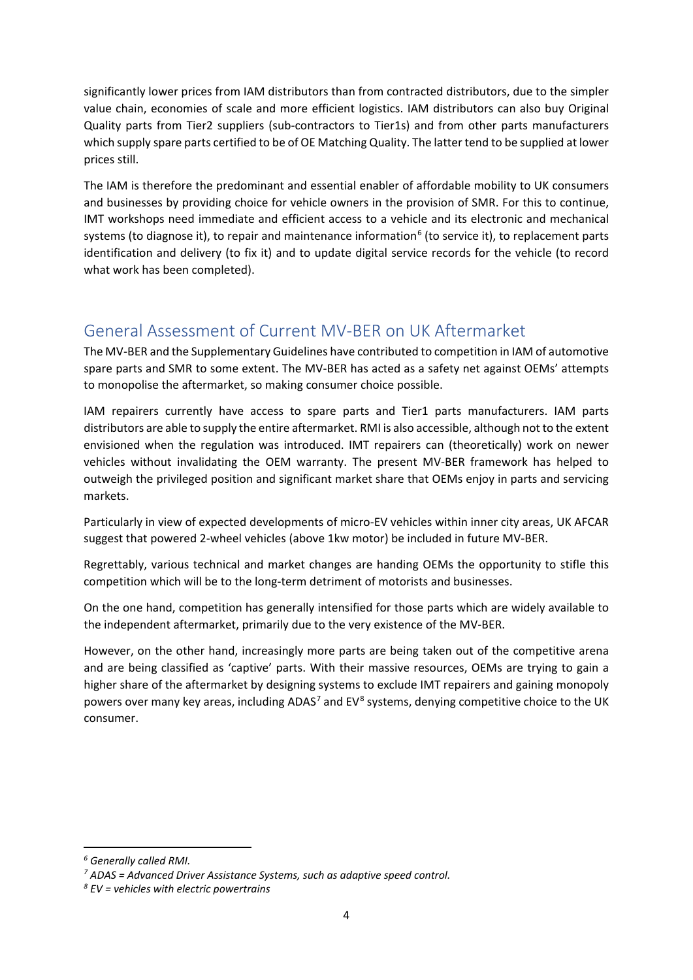significantly lower prices from IAM distributors than from contracted distributors, due to the simpler value chain, economies of scale and more efficient logistics. IAM distributors can also buy Original Quality parts from Tier2 suppliers (sub-contractors to Tier1s) and from other parts manufacturers which supply spare parts certified to be of OE Matching Quality. The latter tend to be supplied at lower prices still.

The IAM is therefore the predominant and essential enabler of affordable mobility to UK consumers and businesses by providing choice for vehicle owners in the provision of SMR. For this to continue, IMT workshops need immediate and efficient access to a vehicle and its electronic and mechanical systems (to diagnose it), to repair and maintenance information<sup>[6](#page-3-1)</sup> (to service it), to replacement parts identification and delivery (to fix it) and to update digital service records for the vehicle (to record what work has been completed).

# <span id="page-3-0"></span>General Assessment of Current MV-BER on UK Aftermarket

The MV-BER and the Supplementary Guidelines have contributed to competition in IAM of automotive spare parts and SMR to some extent. The MV-BER has acted as a safety net against OEMs' attempts to monopolise the aftermarket, so making consumer choice possible.

IAM repairers currently have access to spare parts and Tier1 parts manufacturers. IAM parts distributors are able to supply the entire aftermarket. RMI is also accessible, although not to the extent envisioned when the regulation was introduced. IMT repairers can (theoretically) work on newer vehicles without invalidating the OEM warranty. The present MV-BER framework has helped to outweigh the privileged position and significant market share that OEMs enjoy in parts and servicing markets.

Particularly in view of expected developments of micro-EV vehicles within inner city areas, UK AFCAR suggest that powered 2-wheel vehicles (above 1kw motor) be included in future MV-BER.

Regrettably, various technical and market changes are handing OEMs the opportunity to stifle this competition which will be to the long-term detriment of motorists and businesses.

On the one hand, competition has generally intensified for those parts which are widely available to the independent aftermarket, primarily due to the very existence of the MV-BER.

However, on the other hand, increasingly more parts are being taken out of the competitive arena and are being classified as 'captive' parts. With their massive resources, OEMs are trying to gain a higher share of the aftermarket by designing systems to exclude IMT repairers and gaining monopoly powers over many key areas, including ADAS<sup>[7](#page-3-2)</sup> and EV<sup>[8](#page-3-3)</sup> systems, denying competitive choice to the UK consumer.

<span id="page-3-1"></span>*<sup>6</sup> Generally called RMI.*

<span id="page-3-2"></span>*<sup>7</sup> ADAS = Advanced Driver Assistance Systems, such as adaptive speed control.*

<span id="page-3-3"></span>*<sup>8</sup> EV = vehicles with electric powertrains*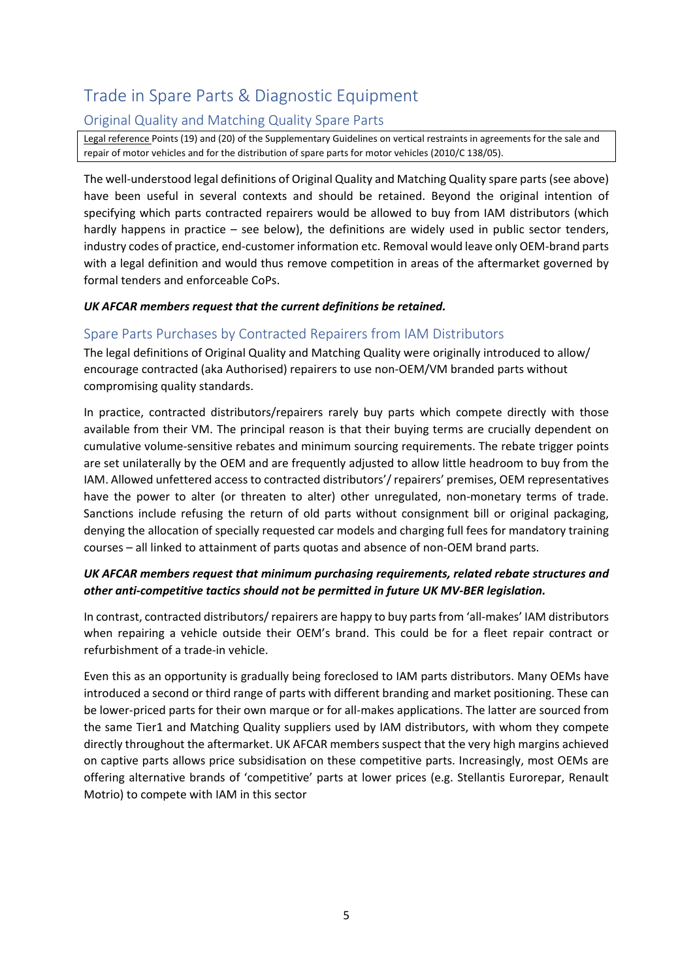# <span id="page-4-0"></span>Trade in Spare Parts & Diagnostic Equipment

# <span id="page-4-1"></span>Original Quality and Matching Quality Spare Parts

Legal reference Points (19) and (20) of the Supplementary Guidelines on vertical restraints in agreements for the sale and repair of motor vehicles and for the distribution of spare parts for motor vehicles (2010/C 138/05).

The well-understood legal definitions of Original Quality and Matching Quality spare parts (see above) have been useful in several contexts and should be retained. Beyond the original intention of specifying which parts contracted repairers would be allowed to buy from IAM distributors (which hardly happens in practice – see below), the definitions are widely used in public sector tenders, industry codes of practice, end-customer information etc. Removal would leave only OEM-brand parts with a legal definition and would thus remove competition in areas of the aftermarket governed by formal tenders and enforceable CoPs.

#### *UK AFCAR members request that the current definitions be retained.*

### <span id="page-4-2"></span>Spare Parts Purchases by Contracted Repairers from IAM Distributors

The legal definitions of Original Quality and Matching Quality were originally introduced to allow/ encourage contracted (aka Authorised) repairers to use non-OEM/VM branded parts without compromising quality standards.

In practice, contracted distributors/repairers rarely buy parts which compete directly with those available from their VM. The principal reason is that their buying terms are crucially dependent on cumulative volume-sensitive rebates and minimum sourcing requirements. The rebate trigger points are set unilaterally by the OEM and are frequently adjusted to allow little headroom to buy from the IAM. Allowed unfettered access to contracted distributors'/ repairers' premises, OEM representatives have the power to alter (or threaten to alter) other unregulated, non-monetary terms of trade. Sanctions include refusing the return of old parts without consignment bill or original packaging, denying the allocation of specially requested car models and charging full fees for mandatory training courses – all linked to attainment of parts quotas and absence of non-OEM brand parts.

### *UK AFCAR members request that minimum purchasing requirements, related rebate structures and other anti-competitive tactics should not be permitted in future UK MV-BER legislation.*

In contrast, contracted distributors/ repairers are happy to buy parts from 'all-makes' IAM distributors when repairing a vehicle outside their OEM's brand. This could be for a fleet repair contract or refurbishment of a trade-in vehicle.

Even this as an opportunity is gradually being foreclosed to IAM parts distributors. Many OEMs have introduced a second or third range of parts with different branding and market positioning. These can be lower-priced parts for their own marque or for all-makes applications. The latter are sourced from the same Tier1 and Matching Quality suppliers used by IAM distributors, with whom they compete directly throughout the aftermarket. UK AFCAR members suspect that the very high margins achieved on captive parts allows price subsidisation on these competitive parts. Increasingly, most OEMs are offering alternative brands of 'competitive' parts at lower prices (e.g. Stellantis Eurorepar, Renault Motrio) to compete with IAM in this sector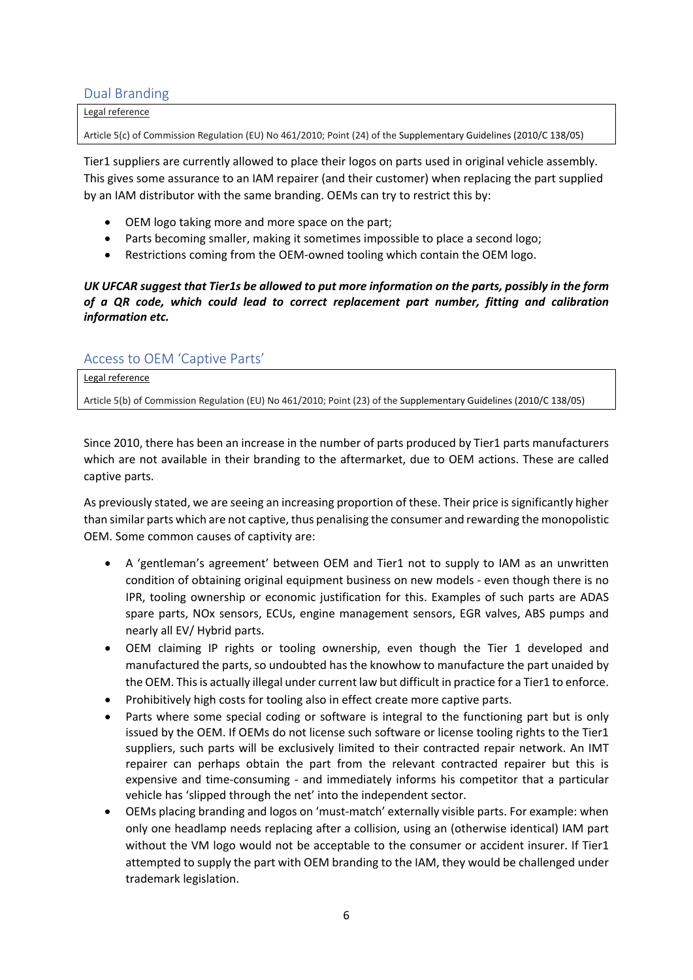### <span id="page-5-0"></span>Dual Branding

Legal reference

Article 5(c) of Commission Regulation (EU) No 461/2010; Point (24) of the Supplementary Guidelines (2010/C 138/05)

Tier1 suppliers are currently allowed to place their logos on parts used in original vehicle assembly. This gives some assurance to an IAM repairer (and their customer) when replacing the part supplied by an IAM distributor with the same branding. OEMs can try to restrict this by:

- OEM logo taking more and more space on the part;
- Parts becoming smaller, making it sometimes impossible to place a second logo;
- Restrictions coming from the OEM-owned tooling which contain the OEM logo.

*UK UFCAR suggest that Tier1s be allowed to put more information on the parts, possibly in the form of a QR code, which could lead to correct replacement part number, fitting and calibration information etc.*

### <span id="page-5-1"></span>Access to OEM 'Captive Parts'

Legal reference

Article 5(b) of Commission Regulation (EU) No 461/2010; Point (23) of the Supplementary Guidelines (2010/C 138/05)

Since 2010, there has been an increase in the number of parts produced by Tier1 parts manufacturers which are not available in their branding to the aftermarket, due to OEM actions. These are called captive parts.

As previously stated, we are seeing an increasing proportion of these. Their price is significantly higher than similar parts which are not captive, thus penalising the consumer and rewarding the monopolistic OEM. Some common causes of captivity are:

- A 'gentleman's agreement' between OEM and Tier1 not to supply to IAM as an unwritten condition of obtaining original equipment business on new models - even though there is no IPR, tooling ownership or economic justification for this. Examples of such parts are ADAS spare parts, NOx sensors, ECUs, engine management sensors, EGR valves, ABS pumps and nearly all EV/ Hybrid parts.
- OEM claiming IP rights or tooling ownership, even though the Tier 1 developed and manufactured the parts, so undoubted has the knowhow to manufacture the part unaided by the OEM. This is actually illegal under current law but difficult in practice for a Tier1 to enforce.
- Prohibitively high costs for tooling also in effect create more captive parts.
- Parts where some special coding or software is integral to the functioning part but is only issued by the OEM. If OEMs do not license such software or license tooling rights to the Tier1 suppliers, such parts will be exclusively limited to their contracted repair network. An IMT repairer can perhaps obtain the part from the relevant contracted repairer but this is expensive and time-consuming - and immediately informs his competitor that a particular vehicle has 'slipped through the net' into the independent sector.
- OEMs placing branding and logos on 'must-match' externally visible parts. For example: when only one headlamp needs replacing after a collision, using an (otherwise identical) IAM part without the VM logo would not be acceptable to the consumer or accident insurer. If Tier1 attempted to supply the part with OEM branding to the IAM, they would be challenged under trademark legislation.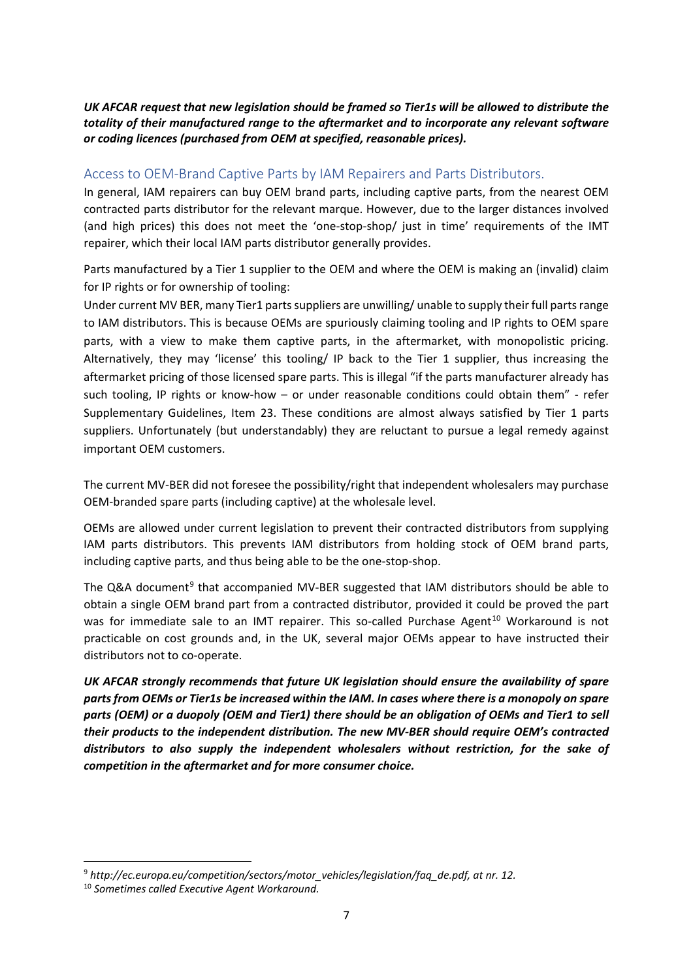#### *UK AFCAR request that new legislation should be framed so Tier1s will be allowed to distribute the totality of their manufactured range to the aftermarket and to incorporate any relevant software or coding licences (purchased from OEM at specified, reasonable prices).*

### <span id="page-6-0"></span>Access to OEM-Brand Captive Parts by IAM Repairers and Parts Distributors.

In general, IAM repairers can buy OEM brand parts, including captive parts, from the nearest OEM contracted parts distributor for the relevant marque. However, due to the larger distances involved (and high prices) this does not meet the 'one-stop-shop/ just in time' requirements of the IMT repairer, which their local IAM parts distributor generally provides.

Parts manufactured by a Tier 1 supplier to the OEM and where the OEM is making an (invalid) claim for IP rights or for ownership of tooling:

Under current MV BER, many Tier1 parts suppliers are unwilling/ unable to supply their full parts range to IAM distributors. This is because OEMs are spuriously claiming tooling and IP rights to OEM spare parts, with a view to make them captive parts, in the aftermarket, with monopolistic pricing. Alternatively, they may 'license' this tooling/ IP back to the Tier 1 supplier, thus increasing the aftermarket pricing of those licensed spare parts. This is illegal "if the parts manufacturer already has such tooling, IP rights or know-how – or under reasonable conditions could obtain them" - refer Supplementary Guidelines, Item 23. These conditions are almost always satisfied by Tier 1 parts suppliers. Unfortunately (but understandably) they are reluctant to pursue a legal remedy against important OEM customers.

The current MV-BER did not foresee the possibility/right that independent wholesalers may purchase OEM-branded spare parts (including captive) at the wholesale level.

OEMs are allowed under current legislation to prevent their contracted distributors from supplying IAM parts distributors. This prevents IAM distributors from holding stock of OEM brand parts, including captive parts, and thus being able to be the one-stop-shop.

The Q&A document<sup>[9](#page-6-1)</sup> that accompanied MV-BER suggested that IAM distributors should be able to obtain a single OEM brand part from a contracted distributor, provided it could be proved the part was for immediate sale to an IMT repairer. This so-called Purchase Agent<sup>[10](#page-6-2)</sup> Workaround is not practicable on cost grounds and, in the UK, several major OEMs appear to have instructed their distributors not to co-operate.

*UK AFCAR strongly recommends that future UK legislation should ensure the availability of spare parts from OEMs or Tier1s be increased within the IAM. In cases where there is a monopoly on spare parts (OEM) or a duopoly (OEM and Tier1) there should be an obligation of OEMs and Tier1 to sell their products to the independent distribution. The new MV-BER should require OEM's contracted distributors to also supply the independent wholesalers without restriction, for the sake of competition in the aftermarket and for more consumer choice.* 

<span id="page-6-1"></span><sup>9</sup> *http://ec.europa.eu/competition/sectors/motor\_vehicles/legislation/faq\_de.pdf, at nr. 12.*

<span id="page-6-2"></span><sup>10</sup> *Sometimes called Executive Agent Workaround.*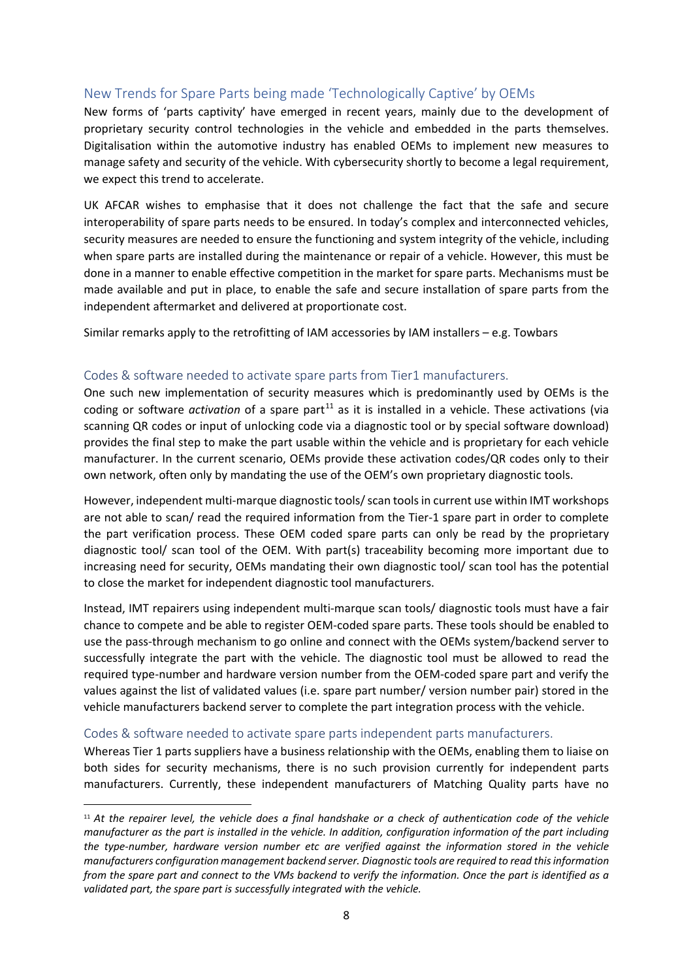# <span id="page-7-0"></span>New Trends for Spare Parts being made 'Technologically Captive' by OEMs

New forms of 'parts captivity' have emerged in recent years, mainly due to the development of proprietary security control technologies in the vehicle and embedded in the parts themselves. Digitalisation within the automotive industry has enabled OEMs to implement new measures to manage safety and security of the vehicle. With cybersecurity shortly to become a legal requirement, we expect this trend to accelerate.

UK AFCAR wishes to emphasise that it does not challenge the fact that the safe and secure interoperability of spare parts needs to be ensured. In today's complex and interconnected vehicles, security measures are needed to ensure the functioning and system integrity of the vehicle, including when spare parts are installed during the maintenance or repair of a vehicle. However, this must be done in a manner to enable effective competition in the market for spare parts. Mechanisms must be made available and put in place, to enable the safe and secure installation of spare parts from the independent aftermarket and delivered at proportionate cost.

Similar remarks apply to the retrofitting of IAM accessories by IAM installers – e.g. Towbars

#### <span id="page-7-1"></span>Codes & software needed to activate spare parts from Tier1 manufacturers.

One such new implementation of security measures which is predominantly used by OEMs is the coding or software *activation* of a spare part<sup>[11](#page-7-3)</sup> as it is installed in a vehicle. These activations (via scanning QR codes or input of unlocking code via a diagnostic tool or by special software download) provides the final step to make the part usable within the vehicle and is proprietary for each vehicle manufacturer. In the current scenario, OEMs provide these activation codes/QR codes only to their own network, often only by mandating the use of the OEM's own proprietary diagnostic tools.

However, independent multi-marque diagnostic tools/ scan tools in current use within IMT workshops are not able to scan/ read the required information from the Tier-1 spare part in order to complete the part verification process. These OEM coded spare parts can only be read by the proprietary diagnostic tool/ scan tool of the OEM. With part(s) traceability becoming more important due to increasing need for security, OEMs mandating their own diagnostic tool/ scan tool has the potential to close the market for independent diagnostic tool manufacturers.

Instead, IMT repairers using independent multi-marque scan tools/ diagnostic tools must have a fair chance to compete and be able to register OEM-coded spare parts. These tools should be enabled to use the pass-through mechanism to go online and connect with the OEMs system/backend server to successfully integrate the part with the vehicle. The diagnostic tool must be allowed to read the required type-number and hardware version number from the OEM-coded spare part and verify the values against the list of validated values (i.e. spare part number/ version number pair) stored in the vehicle manufacturers backend server to complete the part integration process with the vehicle.

#### <span id="page-7-2"></span>Codes & software needed to activate spare parts independent parts manufacturers.

Whereas Tier 1 parts suppliers have a business relationship with the OEMs, enabling them to liaise on both sides for security mechanisms, there is no such provision currently for independent parts manufacturers. Currently, these independent manufacturers of Matching Quality parts have no

<span id="page-7-3"></span><sup>11</sup> *At the repairer level, the vehicle does a final handshake or a check of authentication code of the vehicle manufacturer as the part is installed in the vehicle. In addition, configuration information of the part including the type-number, hardware version number etc are verified against the information stored in the vehicle manufacturers configuration management backend server. Diagnostic tools are required to read this information from the spare part and connect to the VMs backend to verify the information. Once the part is identified as a validated part, the spare part is successfully integrated with the vehicle.*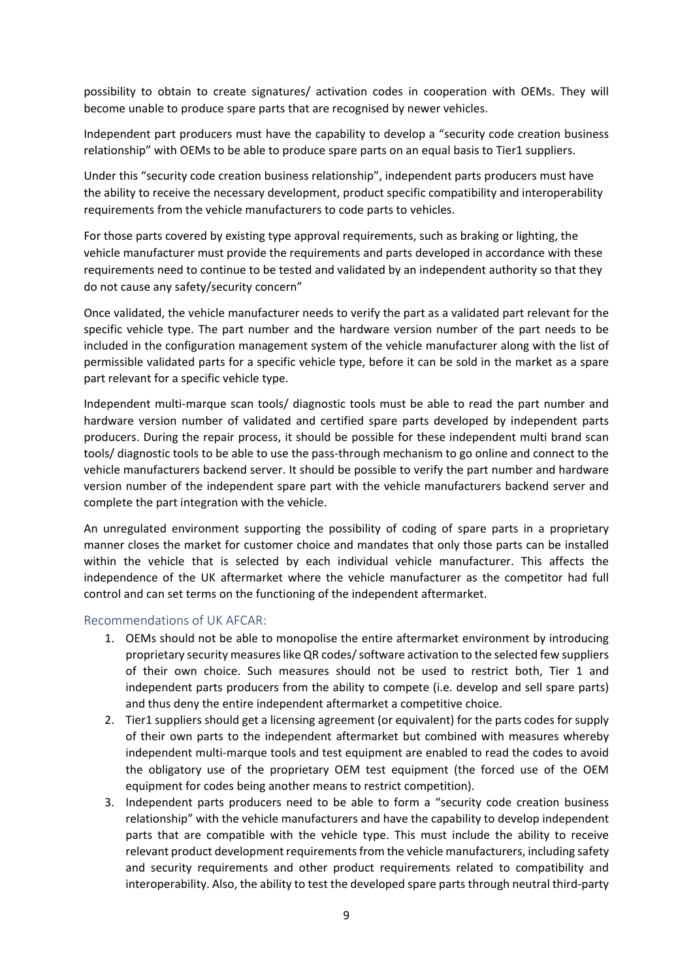possibility to obtain to create signatures/ activation codes in cooperation with OEMs. They will become unable to produce spare parts that are recognised by newer vehicles.

Independent part producers must have the capability to develop a "security code creation business relationship" with OEMs to be able to produce spare parts on an equal basis to Tier1 suppliers.

Under this "security code creation business relationship", independent parts producers must have the ability to receive the necessary development, product specific compatibility and interoperability requirements from the vehicle manufacturers to code parts to vehicles.

For those parts covered by existing type approval requirements, such as braking or lighting, the vehicle manufacturer must provide the requirements and parts developed in accordance with these requirements need to continue to be tested and validated by an independent authority so that they do not cause any safety/security concern"

Once validated, the vehicle manufacturer needs to verify the part as a validated part relevant for the specific vehicle type. The part number and the hardware version number of the part needs to be included in the configuration management system of the vehicle manufacturer along with the list of permissible validated parts for a specific vehicle type, before it can be sold in the market as a spare part relevant for a specific vehicle type.

Independent multi-marque scan tools/ diagnostic tools must be able to read the part number and hardware version number of validated and certified spare parts developed by independent parts producers. During the repair process, it should be possible for these independent multi brand scan tools/ diagnostic tools to be able to use the pass-through mechanism to go online and connect to the vehicle manufacturers backend server. It should be possible to verify the part number and hardware version number of the independent spare part with the vehicle manufacturers backend server and complete the part integration with the vehicle.

An unregulated environment supporting the possibility of coding of spare parts in a proprietary manner closes the market for customer choice and mandates that only those parts can be installed within the vehicle that is selected by each individual vehicle manufacturer. This affects the independence of the UK aftermarket where the vehicle manufacturer as the competitor had full control and can set terms on the functioning of the independent aftermarket.

#### <span id="page-8-0"></span>Recommendations of UK AFCAR:

- 1. OEMs should not be able to monopolise the entire aftermarket environment by introducing proprietary security measures like QR codes/ software activation to the selected few suppliers of their own choice. Such measures should not be used to restrict both, Tier 1 and independent parts producers from the ability to compete (i.e. develop and sell spare parts) and thus deny the entire independent aftermarket a competitive choice.
- 2. Tier1 suppliers should get a licensing agreement (or equivalent) for the parts codes for supply of their own parts to the independent aftermarket but combined with measures whereby independent multi-marque tools and test equipment are enabled to read the codes to avoid the obligatory use of the proprietary OEM test equipment (the forced use of the OEM equipment for codes being another means to restrict competition).
- 3. Independent parts producers need to be able to form a "security code creation business relationship" with the vehicle manufacturers and have the capability to develop independent parts that are compatible with the vehicle type. This must include the ability to receive relevant product development requirements from the vehicle manufacturers, including safety and security requirements and other product requirements related to compatibility and interoperability. Also, the ability to test the developed spare parts through neutral third-party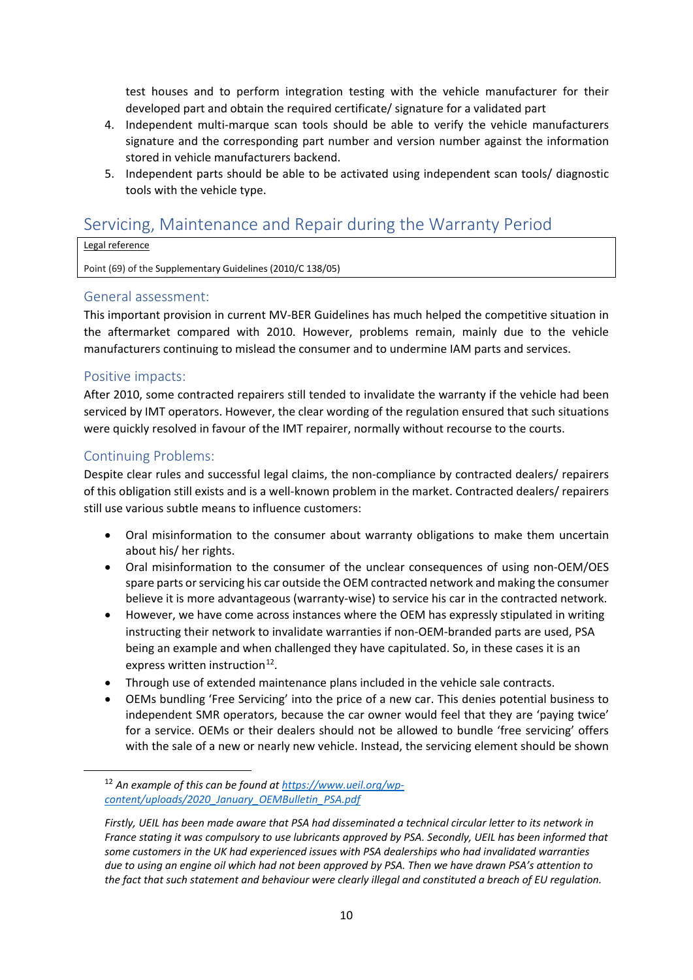test houses and to perform integration testing with the vehicle manufacturer for their developed part and obtain the required certificate/ signature for a validated part

- 4. Independent multi-marque scan tools should be able to verify the vehicle manufacturers signature and the corresponding part number and version number against the information stored in vehicle manufacturers backend.
- 5. Independent parts should be able to be activated using independent scan tools/ diagnostic tools with the vehicle type.

# <span id="page-9-0"></span>Servicing, Maintenance and Repair during the Warranty Period

#### Legal reference

Point (69) of the Supplementary Guidelines (2010/C 138/05)

### <span id="page-9-1"></span>General assessment:

This important provision in current MV-BER Guidelines has much helped the competitive situation in the aftermarket compared with 2010. However, problems remain, mainly due to the vehicle manufacturers continuing to mislead the consumer and to undermine IAM parts and services.

# <span id="page-9-2"></span>Positive impacts:

After 2010, some contracted repairers still tended to invalidate the warranty if the vehicle had been serviced by IMT operators. However, the clear wording of the regulation ensured that such situations were quickly resolved in favour of the IMT repairer, normally without recourse to the courts.

# <span id="page-9-3"></span>Continuing Problems:

Despite clear rules and successful legal claims, the non-compliance by contracted dealers/ repairers of this obligation still exists and is a well-known problem in the market. Contracted dealers/ repairers still use various subtle means to influence customers:

- Oral misinformation to the consumer about warranty obligations to make them uncertain about his/ her rights.
- Oral misinformation to the consumer of the unclear consequences of using non-OEM/OES spare parts or servicing his car outside the OEM contracted network and making the consumer believe it is more advantageous (warranty-wise) to service his car in the contracted network.
- However, we have come across instances where the OEM has expressly stipulated in writing instructing their network to invalidate warranties if non-OEM-branded parts are used, PSA being an example and when challenged they have capitulated. So, in these cases it is an express written instruction<sup>12</sup>.
- Through use of extended maintenance plans included in the vehicle sale contracts.
- OEMs bundling 'Free Servicing' into the price of a new car. This denies potential business to independent SMR operators, because the car owner would feel that they are 'paying twice' for a service. OEMs or their dealers should not be allowed to bundle 'free servicing' offers with the sale of a new or nearly new vehicle. Instead, the servicing element should be shown

<span id="page-9-4"></span><sup>12</sup> *An example of this can be found a[t https://www.ueil.org/wp](https://www.ueil.org/wp-content/uploads/2020_January_OEMBulletin_PSA.pdf)[content/uploads/2020\\_January\\_OEMBulletin\\_PSA.pdf](https://www.ueil.org/wp-content/uploads/2020_January_OEMBulletin_PSA.pdf)*

*Firstly, UEIL has been made aware that PSA had disseminated a technical circular letter to its network in France stating it was compulsory to use lubricants approved by PSA. Secondly, UEIL has been informed that some customers in the UK had experienced issues with PSA dealerships who had invalidated warranties due to using an engine oil which had not been approved by PSA. Then we have drawn PSA's attention to the fact that such statement and behaviour were clearly illegal and constituted a breach of EU regulation.*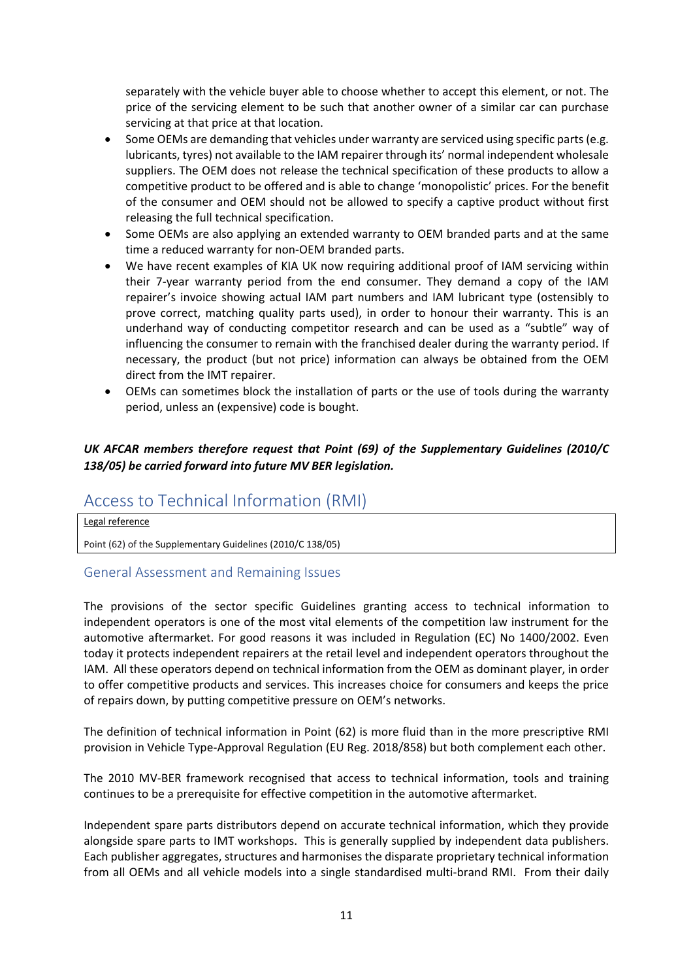separately with the vehicle buyer able to choose whether to accept this element, or not. The price of the servicing element to be such that another owner of a similar car can purchase servicing at that price at that location.

- Some OEMs are demanding that vehicles under warranty are serviced using specific parts (e.g. lubricants, tyres) not available to the IAM repairer through its' normal independent wholesale suppliers. The OEM does not release the technical specification of these products to allow a competitive product to be offered and is able to change 'monopolistic' prices. For the benefit of the consumer and OEM should not be allowed to specify a captive product without first releasing the full technical specification.
- Some OEMs are also applying an extended warranty to OEM branded parts and at the same time a reduced warranty for non-OEM branded parts.
- We have recent examples of KIA UK now requiring additional proof of IAM servicing within their 7-year warranty period from the end consumer. They demand a copy of the IAM repairer's invoice showing actual IAM part numbers and IAM lubricant type (ostensibly to prove correct, matching quality parts used), in order to honour their warranty. This is an underhand way of conducting competitor research and can be used as a "subtle" way of influencing the consumer to remain with the franchised dealer during the warranty period. If necessary, the product (but not price) information can always be obtained from the OEM direct from the IMT repairer.
- OEMs can sometimes block the installation of parts or the use of tools during the warranty period, unless an (expensive) code is bought.

# *UK AFCAR members therefore request that Point (69) of the Supplementary Guidelines (2010/C 138/05) be carried forward into future MV BER legislation.*

# <span id="page-10-0"></span>Access to Technical Information (RMI)

Legal reference

Point (62) of the Supplementary Guidelines (2010/C 138/05)

#### <span id="page-10-1"></span>General Assessment and Remaining Issues

The provisions of the sector specific Guidelines granting access to technical information to independent operators is one of the most vital elements of the competition law instrument for the automotive aftermarket. For good reasons it was included in Regulation (EC) No 1400/2002. Even today it protects independent repairers at the retail level and independent operators throughout the IAM. All these operators depend on technical information from the OEM as dominant player, in order to offer competitive products and services. This increases choice for consumers and keeps the price of repairs down, by putting competitive pressure on OEM's networks.

The definition of technical information in Point (62) is more fluid than in the more prescriptive RMI provision in Vehicle Type-Approval Regulation (EU Reg. 2018/858) but both complement each other.

The 2010 MV-BER framework recognised that access to technical information, tools and training continues to be a prerequisite for effective competition in the automotive aftermarket.

Independent spare parts distributors depend on accurate technical information, which they provide alongside spare parts to IMT workshops. This is generally supplied by independent data publishers. Each publisher aggregates, structures and harmonises the disparate proprietary technical information from all OEMs and all vehicle models into a single standardised multi-brand RMI. From their daily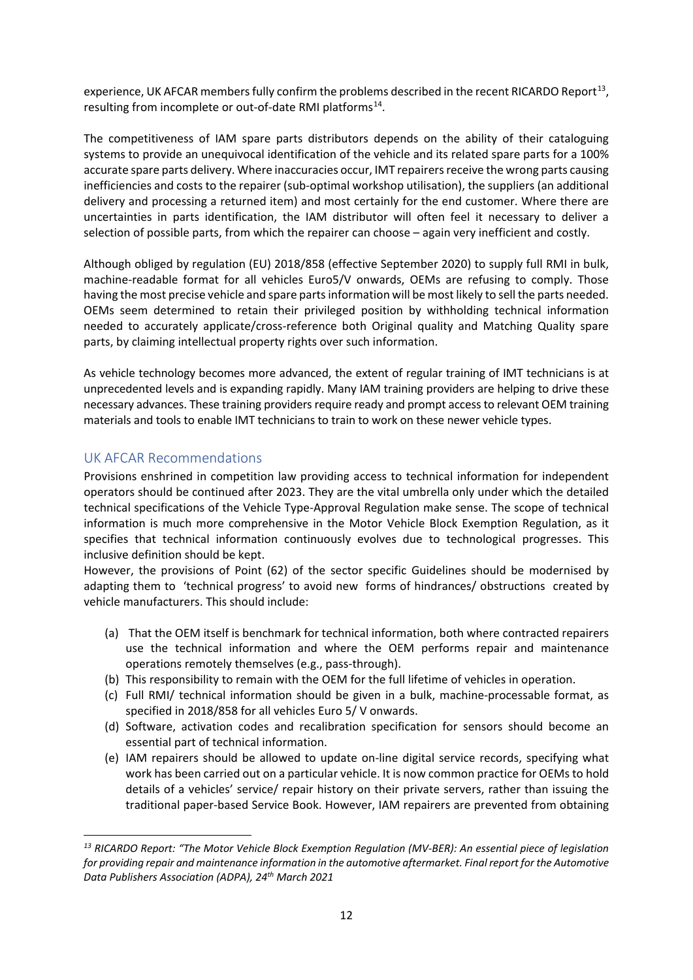experience, UK AFCAR members fully confirm the problems described in the recent RICARDO Report<sup>13</sup>, resulting from incomplete or out-of-date RMI platforms<sup>[14](#page-11-2)</sup>.

The competitiveness of IAM spare parts distributors depends on the ability of their cataloguing systems to provide an unequivocal identification of the vehicle and its related spare parts for a 100% accurate spare parts delivery. Where inaccuracies occur, IMT repairers receive the wrong parts causing inefficiencies and costs to the repairer (sub-optimal workshop utilisation), the suppliers (an additional delivery and processing a returned item) and most certainly for the end customer. Where there are uncertainties in parts identification, the IAM distributor will often feel it necessary to deliver a selection of possible parts, from which the repairer can choose – again very inefficient and costly.

Although obliged by regulation (EU) 2018/858 (effective September 2020) to supply full RMI in bulk, machine-readable format for all vehicles Euro5/V onwards, OEMs are refusing to comply. Those having the most precise vehicle and spare parts information will be most likely to sell the parts needed. OEMs seem determined to retain their privileged position by withholding technical information needed to accurately applicate/cross-reference both Original quality and Matching Quality spare parts, by claiming intellectual property rights over such information.

As vehicle technology becomes more advanced, the extent of regular training of IMT technicians is at unprecedented levels and is expanding rapidly. Many IAM training providers are helping to drive these necessary advances. These training providers require ready and prompt access to relevant OEM training materials and tools to enable IMT technicians to train to work on these newer vehicle types.

# <span id="page-11-0"></span>UK AFCAR Recommendations

Provisions enshrined in competition law providing access to technical information for independent operators should be continued after 2023. They are the vital umbrella only under which the detailed technical specifications of the Vehicle Type-Approval Regulation make sense. The scope of technical information is much more comprehensive in the Motor Vehicle Block Exemption Regulation, as it specifies that technical information continuously evolves due to technological progresses. This inclusive definition should be kept.

However, the provisions of Point (62) of the sector specific Guidelines should be modernised by adapting them to 'technical progress' to avoid new forms of hindrances/ obstructions created by vehicle manufacturers. This should include:

- (a) That the OEM itself is benchmark for technical information, both where contracted repairers use the technical information and where the OEM performs repair and maintenance operations remotely themselves (e.g., pass-through).
- (b) This responsibility to remain with the OEM for the full lifetime of vehicles in operation.
- (c) Full RMI/ technical information should be given in a bulk, machine-processable format, as specified in 2018/858 for all vehicles Euro 5/ V onwards.
- (d) Software, activation codes and recalibration specification for sensors should become an essential part of technical information.
- (e) IAM repairers should be allowed to update on-line digital service records, specifying what work has been carried out on a particular vehicle. It is now common practice for OEMs to hold details of a vehicles' service/ repair history on their private servers, rather than issuing the traditional paper-based Service Book. However, IAM repairers are prevented from obtaining

<span id="page-11-2"></span><span id="page-11-1"></span>*<sup>13</sup> RICARDO Report: "The Motor Vehicle Block Exemption Regulation (MV-BER): An essential piece of legislation for providing repair and maintenance information in the automotive aftermarket. Final report for the Automotive Data Publishers Association (ADPA), 24th March 2021*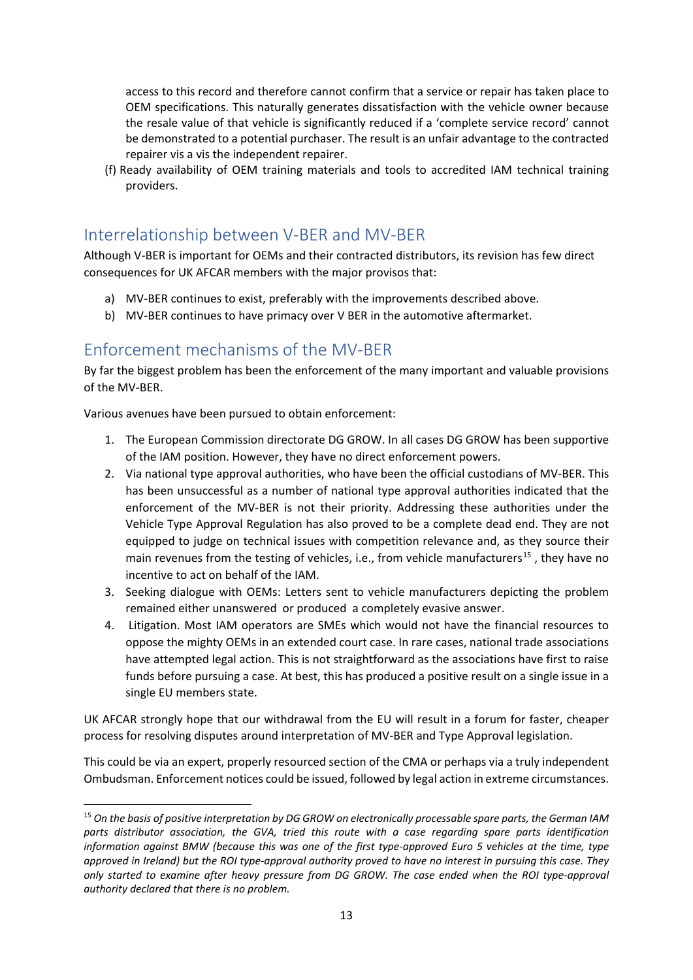access to this record and therefore cannot confirm that a service or repair has taken place to OEM specifications. This naturally generates dissatisfaction with the vehicle owner because the resale value of that vehicle is significantly reduced if a 'complete service record' cannot be demonstrated to a potential purchaser. The result is an unfair advantage to the contracted repairer vis a vis the independent repairer.

(f) Ready availability of OEM training materials and tools to accredited IAM technical training providers.

# <span id="page-12-0"></span>Interrelationship between V-BER and MV-BER

Although V-BER is important for OEMs and their contracted distributors, its revision has few direct consequences for UK AFCAR members with the major provisos that:

- a) MV-BER continues to exist, preferably with the improvements described above.
- b) MV-BER continues to have primacy over V BER in the automotive aftermarket.

# <span id="page-12-1"></span>Enforcement mechanisms of the MV-BER

By far the biggest problem has been the enforcement of the many important and valuable provisions of the MV-BER.

Various avenues have been pursued to obtain enforcement:

- 1. The European Commission directorate DG GROW. In all cases DG GROW has been supportive of the IAM position. However, they have no direct enforcement powers.
- 2. Via national type approval authorities, who have been the official custodians of MV-BER. This has been unsuccessful as a number of national type approval authorities indicated that the enforcement of the MV-BER is not their priority. Addressing these authorities under the Vehicle Type Approval Regulation has also proved to be a complete dead end. They are not equipped to judge on technical issues with competition relevance and, as they source their main revenues from the testing of vehicles, i.e., from vehicle manufacturers<sup>[15](#page-12-2)</sup>, they have no incentive to act on behalf of the IAM.
- 3. Seeking dialogue with OEMs: Letters sent to vehicle manufacturers depicting the problem remained either unanswered or produced a completely evasive answer.
- 4. Litigation. Most IAM operators are SMEs which would not have the financial resources to oppose the mighty OEMs in an extended court case. In rare cases, national trade associations have attempted legal action. This is not straightforward as the associations have first to raise funds before pursuing a case. At best, this has produced a positive result on a single issue in a single EU members state.

UK AFCAR strongly hope that our withdrawal from the EU will result in a forum for faster, cheaper process for resolving disputes around interpretation of MV-BER and Type Approval legislation.

This could be via an expert, properly resourced section of the CMA or perhaps via a truly independent Ombudsman. Enforcement notices could be issued, followed by legal action in extreme circumstances.

<span id="page-12-2"></span><sup>15</sup> *On the basis of positive interpretation by DG GROW on electronically processable spare parts, the German IAM parts distributor association, the GVA, tried this route with a case regarding spare parts identification information against BMW (because this was one of the first type-approved Euro 5 vehicles at the time, type approved in Ireland) but the ROI type-approval authority proved to have no interest in pursuing this case. They only started to examine after heavy pressure from DG GROW. The case ended when the ROI type-approval authority declared that there is no problem.*